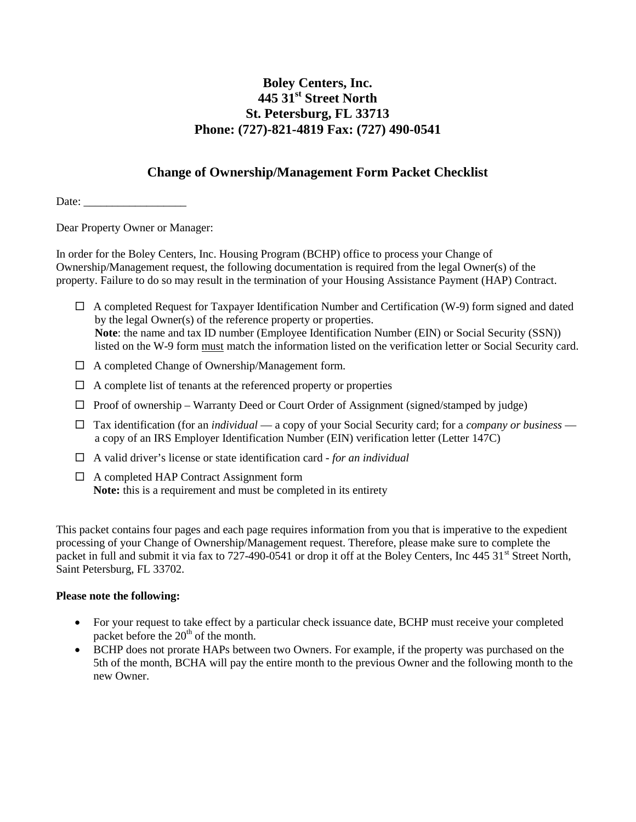# **Boley Centers, Inc. 445 31st Street North St. Petersburg, FL 33713 Phone: (727)-821-4819 Fax: (727) 490-0541**

#### **Change of Ownership/Management Form Packet Checklist**

Date:

Dear Property Owner or Manager:

In order for the Boley Centers, Inc. Housing Program (BCHP) office to process your Change of Ownership/Management request, the following documentation is required from the legal Owner(s) of the property. Failure to do so may result in the termination of your Housing Assistance Payment (HAP) Contract.

- $\Box$  A completed Request for Taxpayer Identification Number and Certification (W-9) form signed and dated by the legal Owner(s) of the reference property or properties. **Note**: the name and tax ID number (Employee Identification Number (EIN) or Social Security (SSN)) listed on the W-9 form must match the information listed on the verification letter or Social Security card.
- $\Box$  A completed Change of Ownership/Management form.
- $\Box$  A complete list of tenants at the referenced property or properties
- $\Box$  Proof of ownership Warranty Deed or Court Order of Assignment (signed/stamped by judge)
- Tax identification (for an *individual* a copy of your Social Security card; for a *company or business* a copy of an IRS Employer Identification Number (EIN) verification letter (Letter 147C)
- A valid driver's license or state identification card *for an individual*
- □ A completed HAP Contract Assignment form **Note:** this is a requirement and must be completed in its entirety

This packet contains four pages and each page requires information from you that is imperative to the expedient processing of your Change of Ownership/Management request. Therefore, please make sure to complete the packet in full and submit it via fax to 727-490-0541 or drop it off at the Boley Centers, Inc 445 31<sup>st</sup> Street North. Saint Petersburg, FL 33702.

#### **Please note the following:**

- For your request to take effect by a particular check issuance date, BCHP must receive your completed packet before the  $20<sup>th</sup>$  of the month.
- BCHP does not prorate HAPs between two Owners. For example, if the property was purchased on the 5th of the month, BCHA will pay the entire month to the previous Owner and the following month to the new Owner.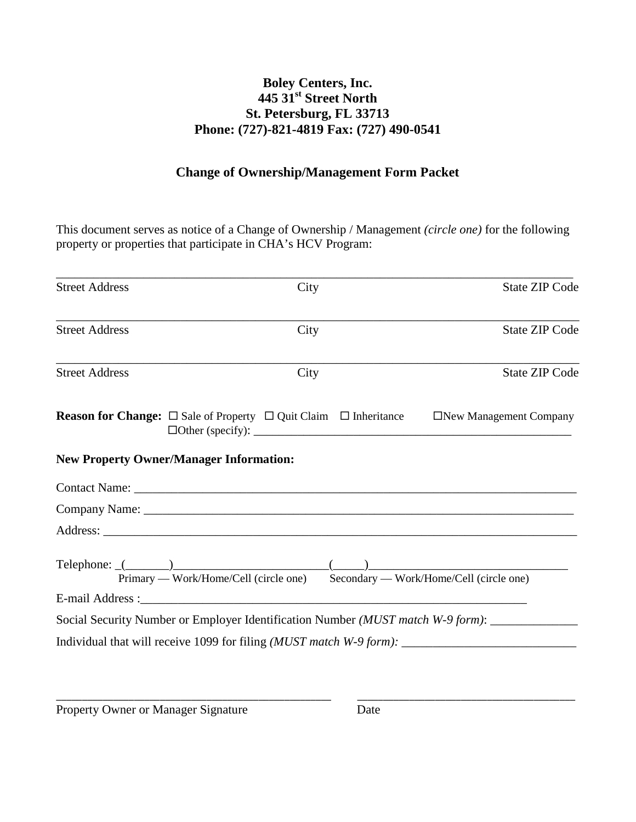# **Boley Centers, Inc. 445 31st Street North St. Petersburg, FL 33713 Phone: (727)-821-4819 Fax: (727) 490-0541**

#### **Change of Ownership/Management Form Packet**

This document serves as notice of a Change of Ownership / Management *(circle one)* for the following property or properties that participate in CHA's HCV Program:

| <b>Street Address</b>                          | City | <b>State ZIP Code</b>                                                                                                            |
|------------------------------------------------|------|----------------------------------------------------------------------------------------------------------------------------------|
| <b>Street Address</b>                          | City | <b>State ZIP Code</b>                                                                                                            |
| <b>Street Address</b>                          | City | <b>State ZIP Code</b>                                                                                                            |
|                                                |      | <b>Reason for Change:</b> $\square$ Sale of Property $\square$ Quit Claim $\square$ Inheritance $\square$ New Management Company |
| <b>New Property Owner/Manager Information:</b> |      |                                                                                                                                  |
|                                                |      |                                                                                                                                  |
|                                                |      |                                                                                                                                  |
|                                                |      |                                                                                                                                  |
|                                                |      | Primary — Work/Home/Cell (circle one) Secondary — Work/Home/Cell (circle one)                                                    |
|                                                |      |                                                                                                                                  |
|                                                |      | Social Security Number or Employer Identification Number <i>(MUST match W-9 form)</i> :                                          |
|                                                |      |                                                                                                                                  |

\_\_\_\_\_\_\_\_\_\_\_\_\_\_\_\_\_\_\_\_\_\_\_\_\_\_\_\_\_\_\_\_\_\_\_\_\_\_\_\_\_\_\_\_\_\_\_\_\_\_\_\_\_ \_\_\_\_\_\_\_\_\_\_\_\_\_\_\_\_\_\_\_\_\_\_\_\_\_\_\_\_\_\_\_\_\_\_\_\_\_\_\_\_\_\_

Property Owner or Manager Signature Date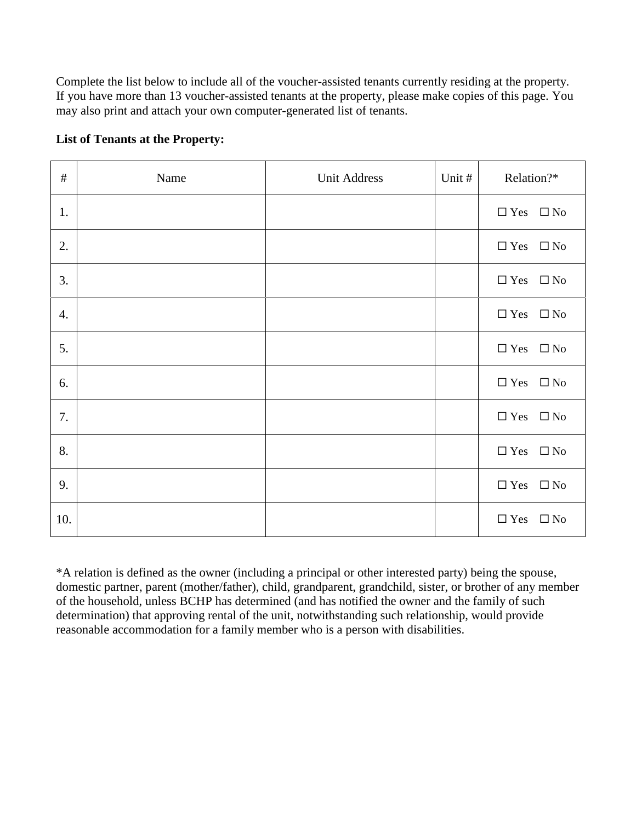Complete the list below to include all of the voucher-assisted tenants currently residing at the property. If you have more than 13 voucher-assisted tenants at the property, please make copies of this page. You may also print and attach your own computer-generated list of tenants.

#### **List of Tenants at the Property:**

| $\#$ | Name | <b>Unit Address</b> | Unit # | Relation?*                 |
|------|------|---------------------|--------|----------------------------|
| 1.   |      |                     |        | $\Box$ Yes $\Box$ No       |
| 2.   |      |                     |        | $\Box$ Yes $\Box$ No       |
| 3.   |      |                     |        | $\Box$ Yes $\Box$ No       |
| 4.   |      |                     |        | $\Box$ Yes $\Box$ No       |
| 5.   |      |                     |        | $\Box$ Yes $\Box$ No       |
| 6.   |      |                     |        | $\Box$ Yes $\Box$ No       |
| 7.   |      |                     |        | $\Box$ Yes<br>$\square$ No |
| 8.   |      |                     |        | $\Box$ Yes $\quad \Box$ No |
| 9.   |      |                     |        | $\Box$ Yes $\quad \Box$ No |
| 10.  |      |                     |        | $\Box$ Yes<br>$\square$ No |

\*A relation is defined as the owner (including a principal or other interested party) being the spouse, domestic partner, parent (mother/father), child, grandparent, grandchild, sister, or brother of any member of the household, unless BCHP has determined (and has notified the owner and the family of such determination) that approving rental of the unit, notwithstanding such relationship, would provide reasonable accommodation for a family member who is a person with disabilities.